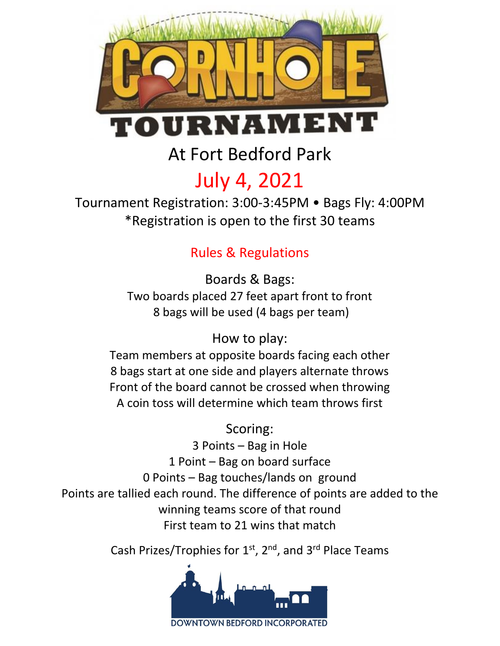

At Fort Bedford Park

# July 4, 2021

Tournament Registration: 3:00-3:45PM • Bags Fly: 4:00PM \*Registration is open to the first 30 teams

## Rules & Regulations

Boards & Bags: Two boards placed 27 feet apart front to front 8 bags will be used (4 bags per team)

## How to play:

Team members at opposite boards facing each other 8 bags start at one side and players alternate throws Front of the board cannot be crossed when throwing A coin toss will determine which team throws first

#### Scoring:

3 Points – Bag in Hole 1 Point – Bag on board surface 0 Points – Bag touches/lands on ground Points are tallied each round. The difference of points are added to the winning teams score of that round First team to 21 wins that match

Cash Prizes/Trophies for  $1<sup>st</sup>$ ,  $2<sup>nd</sup>$ , and  $3<sup>rd</sup>$  Place Teams